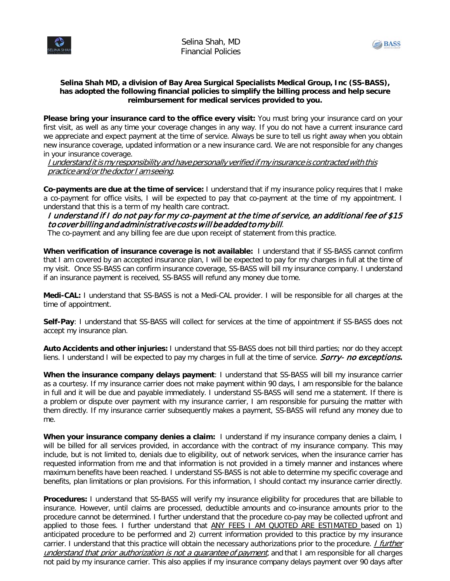



## **Selina Shah MD, a division of Bay Area Surgical Specialists Medical Group, Inc (SS-BASS), has adopted the following financial policies to simplify the billing process and help secure reimbursement for medical services provided to you.**

**Please bring your insurance card to the office every visit:** You must bring your insurance card on your first visit, as well as any time your coverage changes in any way. If you do not have a current insurance card we appreciate and expect payment at the time of service. Always be sure to tell us right away when you obtain new insurance coverage, updated information or a new insurance card. We are not responsible for any changes in your insurance coverage.

I understand itis my responsibility and have personally verified if my insurance is contracted with this practice and/or the doctor I am seeing.

**Co-payments are due at the time of service:** I understand that if my insurance policy requires that I make a co-payment for office visits, I will be expected to pay that co-payment at the time of my appointment. I understand that this is a term of my health care contract.

I understand if I do not pay for my co-payment at the time of service, an additional fee of \$15 to cover billing and administrative costs will be added to my bill.

The co-payment and any billing fee are due upon receipt of statement from this practice.

**When verification of insurance coverage is not available:** I understand that if SS-BASS cannot confirm that I am covered by an accepted insurance plan, I will be expected to pay for my charges in full at the time of my visit. Once SS-BASS can confirm insurance coverage, SS-BASS will bill my insurance company. I understand if an insurance payment is received, SS-BASS will refund any money due tome.

**Medi-CAL:** I understand that SS-BASS is not a Medi-CAL provider. I will be responsible for all charges at the time of appointment.

**Self-Pay**: I understand that SS-BASS will collect for services at the time of appointment if SS-BASS does not accept my insurance plan.

**Auto Accidents and other injuries:** I understand that SS-BASS does not bill third parties; nor do they accept liens. I understand I will be expected to pay my charges in full at the time of service. Sorry- no exceptions**.**

**When the insurance company delays payment**: I understand that SS-BASS will bill my insurance carrier as a courtesy. If my insurance carrier does not make payment within 90 days, I am responsible for the balance in full and it will be due and payable immediately. I understand SS-BASS will send me a statement. If there is a problem or dispute over payment with my insurance carrier, I am responsible for pursuing the matter with them directly. If my insurance carrier subsequently makes a payment, SS-BASS will refund any money due to me.

**When your insurance company denies a claim:** I understand if my insurance company denies a claim, I will be billed for all services provided, in accordance with the contract of my insurance company. This may include, but is not limited to, denials due to eligibility, out of network services, when the insurance carrier has requested information from me and that information is not provided in a timely manner and instances where maximum benefits have been reached. I understand SS-BASS is not able to determine my specific coverage and benefits, plan limitations or plan provisions. For this information, I should contact my insurance carrier directly.

**Procedures:** I understand that SS-BASS will verify my insurance eligibility for procedures that are billable to insurance. However, until claims are processed, deductible amounts and co-insurance amounts prior to the procedure cannot be determined. I further understand that the procedure co-pay may be collected upfront and applied to those fees. I further understand that **ANY FEES I AM QUOTED ARE ESTIMATED** based on 1) anticipated procedure to be performed and 2) current information provided to this practice by my insurance carrier. I understand that this practice will obtain the necessary authorizations prior to the procedure. *I further* understand that prior authorization is not a quarantee of payment, and that I am responsible for all charges not paid by my insurance carrier. This also applies if my insurance company delays payment over 90 days after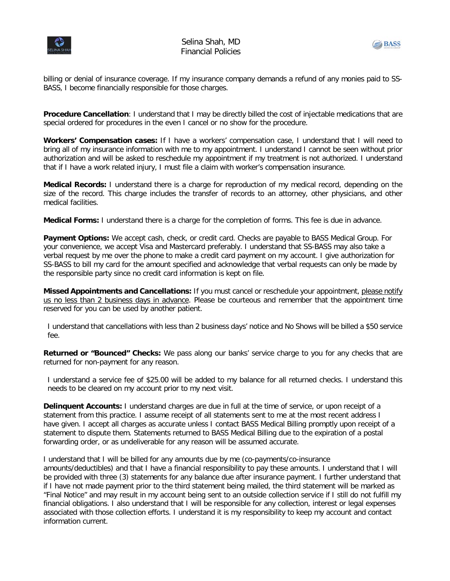



billing or denial of insurance coverage. If my insurance company demands a refund of any monies paid to SS-BASS, I become financially responsible for those charges.

**Procedure Cancellation**: I understand that I may be directly billed the cost of injectable medications that are special ordered for procedures in the even I cancel or no show for the procedure.

**Workers' Compensation cases:** If I have a workers' compensation case, I understand that I will need to bring all of my insurance information with me to my appointment. I understand I cannot be seen without prior authorization and will be asked to reschedule my appointment if my treatment is not authorized. I understand that if I have a work related injury, I must file a claim with worker's compensation insurance.

**Medical Records:** I understand there is a charge for reproduction of my medical record, depending on the size of the record. This charge includes the transfer of records to an attorney, other physicians, and other medical facilities.

**Medical Forms:** I understand there is a charge for the completion of forms. This fee is due in advance.

**Payment Options:** We accept cash, check, or credit card. Checks are payable to BASS Medical Group. For your convenience, we accept Visa and Mastercard preferably. I understand that SS-BASS may also take a verbal request by me over the phone to make a credit card payment on my account. I give authorization for SS-BASS to bill my card for the amount specified and acknowledge that verbal requests can only be made by the responsible party since no credit card information is kept on file.

**Missed Appointments and Cancellations:** If you must cancel or reschedule your appointment, please notify us no less than 2 business days in advance. Please be courteous and remember that the appointment time reserved for you can be used by another patient.

I understand that cancellations with less than 2 business days' notice and No Shows will be billed a \$50 service fee.

**Returned or "Bounced" Checks:** We pass along our banks' service charge to you for any checks that are returned for non-payment for any reason.

I understand a service fee of \$25.00 will be added to my balance for all returned checks. I understand this needs to be cleared on my account prior to my next visit.

**Delinquent Accounts:** I understand charges are due in full at the time of service, or upon receipt of a statement from this practice. I assume receipt of all statements sent to me at the most recent address I have given. I accept all charges as accurate unless I contact BASS Medical Billing promptly upon receipt of a statement to dispute them. Statements returned to BASS Medical Billing due to the expiration of a postal forwarding order, or as undeliverable for any reason will be assumed accurate.

I understand that I will be billed for any amounts due by me (co-payments/co-insurance amounts/deductibles) and that I have a financial responsibility to pay these amounts. I understand that I will be provided with three (3) statements for any balance due after insurance payment. I further understand that if I have not made payment prior to the third statement being mailed, the third statement will be marked as "Final Notice" and may result in my account being sent to an outside collection service if I still do not fulfill my financial obligations. I also understand that I will be responsible for any collection, interest or legal expenses associated with those collection efforts. I understand it is my responsibility to keep my account and contact information current.